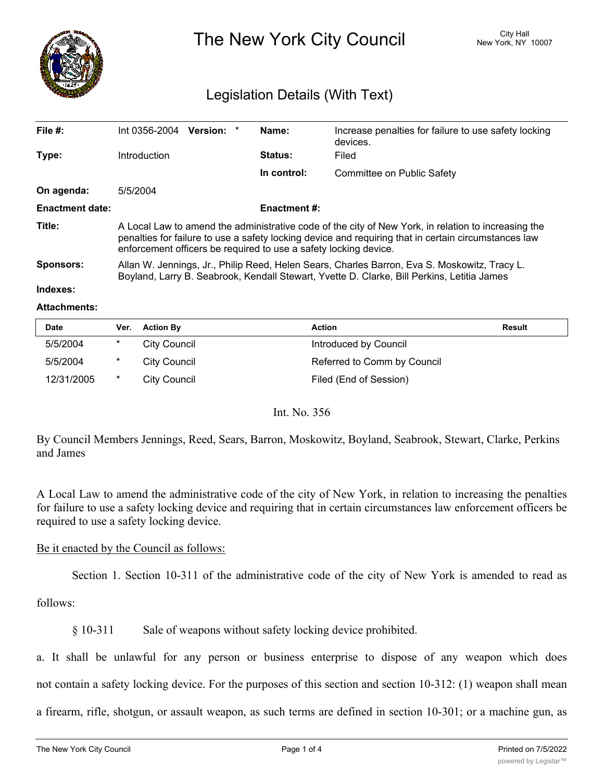

The New York City Council New York, NY 10007

# Legislation Details (With Text)

| File $#$ :             | $Int 0356-2004$ Version: *                                                                                                                                                                                                                                                      |  |  | Name:          | Increase penalties for failure to use safety locking<br>devices. |  |
|------------------------|---------------------------------------------------------------------------------------------------------------------------------------------------------------------------------------------------------------------------------------------------------------------------------|--|--|----------------|------------------------------------------------------------------|--|
| Type:                  | <b>Introduction</b>                                                                                                                                                                                                                                                             |  |  | <b>Status:</b> | Filed                                                            |  |
|                        |                                                                                                                                                                                                                                                                                 |  |  | In control:    | Committee on Public Safety                                       |  |
| On agenda:             | 5/5/2004                                                                                                                                                                                                                                                                        |  |  |                |                                                                  |  |
| <b>Enactment date:</b> | <b>Enactment #:</b>                                                                                                                                                                                                                                                             |  |  |                |                                                                  |  |
| Title:                 | A Local Law to amend the administrative code of the city of New York, in relation to increasing the<br>penalties for failure to use a safety locking device and requiring that in certain circumstances law<br>enforcement officers be required to use a safety locking device. |  |  |                |                                                                  |  |
| Sponsors:              | Allan W. Jennings, Jr., Philip Reed, Helen Sears, Charles Barron, Eva S. Moskowitz, Tracy L.<br>Boyland, Larry B. Seabrook, Kendall Stewart, Yvette D. Clarke, Bill Perkins, Letitia James                                                                                      |  |  |                |                                                                  |  |
| Indexes:               |                                                                                                                                                                                                                                                                                 |  |  |                |                                                                  |  |

## **Attachments:**

| <b>Date</b> | Ver. | <b>Action By</b>    | Action                      | Result |
|-------------|------|---------------------|-----------------------------|--------|
| 5/5/2004    |      | City Council        | Introduced by Council       |        |
| 5/5/2004    |      | City Council        | Referred to Comm by Council |        |
| 12/31/2005  |      | <b>City Council</b> | Filed (End of Session)      |        |

## Int. No. 356

By Council Members Jennings, Reed, Sears, Barron, Moskowitz, Boyland, Seabrook, Stewart, Clarke, Perkins and James

A Local Law to amend the administrative code of the city of New York, in relation to increasing the penalties for failure to use a safety locking device and requiring that in certain circumstances law enforcement officers be required to use a safety locking device.

## Be it enacted by the Council as follows:

Section 1. Section 10-311 of the administrative code of the city of New York is amended to read as

follows:

§ 10-311 Sale of weapons without safety locking device prohibited.

a. It shall be unlawful for any person or business enterprise to dispose of any weapon which does not contain a safety locking device. For the purposes of this section and section 10-312: (1) weapon shall mean

a firearm, rifle, shotgun, or assault weapon, as such terms are defined in section 10-301; or a machine gun, as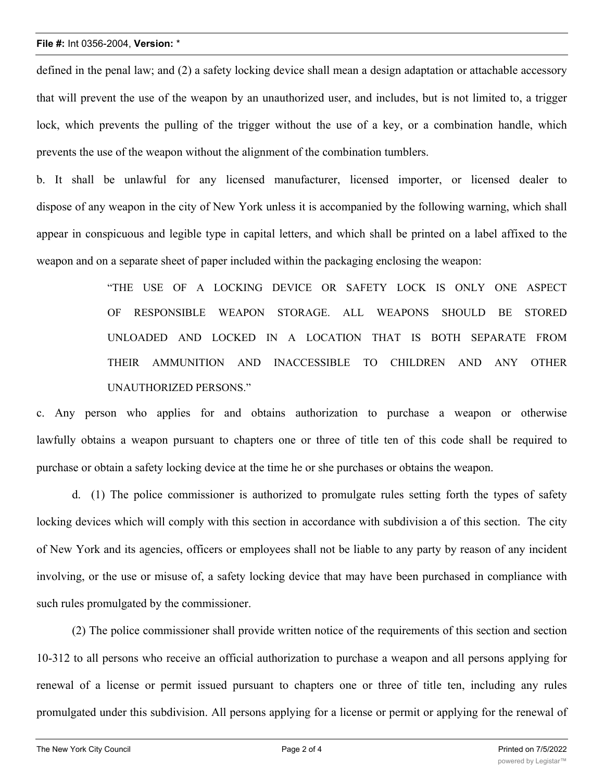### **File #:** Int 0356-2004, **Version:** \*

defined in the penal law; and (2) a safety locking device shall mean a design adaptation or attachable accessory that will prevent the use of the weapon by an unauthorized user, and includes, but is not limited to, a trigger lock, which prevents the pulling of the trigger without the use of a key, or a combination handle, which prevents the use of the weapon without the alignment of the combination tumblers.

b. It shall be unlawful for any licensed manufacturer, licensed importer, or licensed dealer to dispose of any weapon in the city of New York unless it is accompanied by the following warning, which shall appear in conspicuous and legible type in capital letters, and which shall be printed on a label affixed to the weapon and on a separate sheet of paper included within the packaging enclosing the weapon:

> "THE USE OF A LOCKING DEVICE OR SAFETY LOCK IS ONLY ONE ASPECT OF RESPONSIBLE WEAPON STORAGE. ALL WEAPONS SHOULD BE STORED UNLOADED AND LOCKED IN A LOCATION THAT IS BOTH SEPARATE FROM THEIR AMMUNITION AND INACCESSIBLE TO CHILDREN AND ANY OTHER UNAUTHORIZED PERSONS."

c. Any person who applies for and obtains authorization to purchase a weapon or otherwise lawfully obtains a weapon pursuant to chapters one or three of title ten of this code shall be required to purchase or obtain a safety locking device at the time he or she purchases or obtains the weapon.

d. (1) The police commissioner is authorized to promulgate rules setting forth the types of safety locking devices which will comply with this section in accordance with subdivision a of this section. The city of New York and its agencies, officers or employees shall not be liable to any party by reason of any incident involving, or the use or misuse of, a safety locking device that may have been purchased in compliance with such rules promulgated by the commissioner.

(2) The police commissioner shall provide written notice of the requirements of this section and section 10-312 to all persons who receive an official authorization to purchase a weapon and all persons applying for renewal of a license or permit issued pursuant to chapters one or three of title ten, including any rules promulgated under this subdivision. All persons applying for a license or permit or applying for the renewal of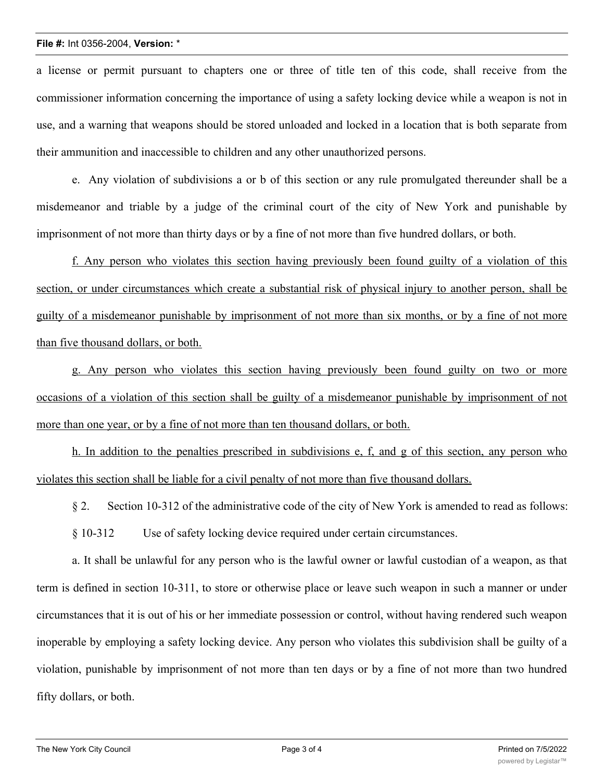### **File #:** Int 0356-2004, **Version:** \*

a license or permit pursuant to chapters one or three of title ten of this code, shall receive from the commissioner information concerning the importance of using a safety locking device while a weapon is not in use, and a warning that weapons should be stored unloaded and locked in a location that is both separate from their ammunition and inaccessible to children and any other unauthorized persons.

e. Any violation of subdivisions a or b of this section or any rule promulgated thereunder shall be a misdemeanor and triable by a judge of the criminal court of the city of New York and punishable by imprisonment of not more than thirty days or by a fine of not more than five hundred dollars, or both.

f. Any person who violates this section having previously been found guilty of a violation of this section, or under circumstances which create a substantial risk of physical injury to another person, shall be guilty of a misdemeanor punishable by imprisonment of not more than six months, or by a fine of not more than five thousand dollars, or both.

g. Any person who violates this section having previously been found guilty on two or more occasions of a violation of this section shall be guilty of a misdemeanor punishable by imprisonment of not more than one year, or by a fine of not more than ten thousand dollars, or both.

h. In addition to the penalties prescribed in subdivisions e, f, and g of this section, any person who violates this section shall be liable for a civil penalty of not more than five thousand dollars.

§ 2. Section 10-312 of the administrative code of the city of New York is amended to read as follows:

§ 10-312 Use of safety locking device required under certain circumstances.

a. It shall be unlawful for any person who is the lawful owner or lawful custodian of a weapon, as that term is defined in section 10-311, to store or otherwise place or leave such weapon in such a manner or under circumstances that it is out of his or her immediate possession or control, without having rendered such weapon inoperable by employing a safety locking device. Any person who violates this subdivision shall be guilty of a violation, punishable by imprisonment of not more than ten days or by a fine of not more than two hundred fifty dollars, or both.